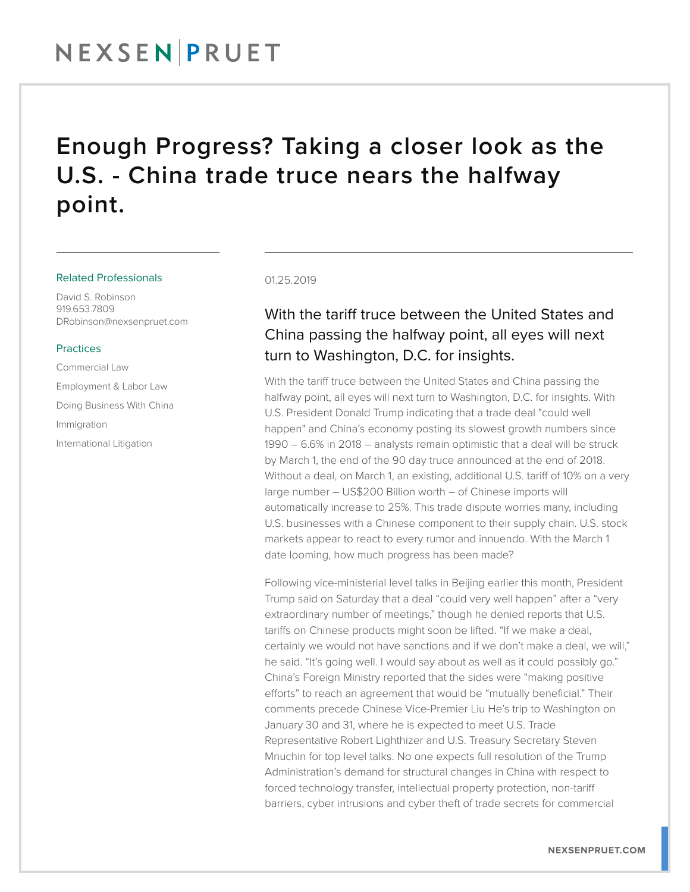## NEXSENPRUET

### Enough Progress? Taking a closer look as the U.S. - China trade truce nears the halfway point.

#### Related Professionals

David S. Robinson 919.653.7809 DRobinson@nexsenpruet.com

#### **Practices**

Commercial Law Employment & Labor Law Doing Business With China Immigration International Litigation

#### 01.25.2019

### With the tariff truce between the United States and China passing the halfway point, all eyes will next turn to Washington, D.C. for insights.

With the tariff truce between the United States and China passing the halfway point, all eyes will next turn to Washington, D.C. for insights. With U.S. President Donald Trump indicating that a trade deal "could well happen" and China's economy posting its slowest growth numbers since 1990 – 6.6% in 2018 – analysts remain optimistic that a deal will be struck by March 1, the end of the 90 day truce announced at the end of 2018. Without a deal, on March 1, an existing, additional U.S. tariff of 10% on a very large number – US\$200 Billion worth – of Chinese imports will automatically increase to 25%. This trade dispute worries many, including U.S. businesses with a Chinese component to their supply chain. U.S. stock markets appear to react to every rumor and innuendo. With the March 1 date looming, how much progress has been made?

Following vice-ministerial level talks in Beijing earlier this month, President Trump said on Saturday that a deal "could very well happen" after a "very extraordinary number of meetings," though he denied reports that U.S. tariffs on Chinese products might soon be lifted. "If we make a deal, certainly we would not have sanctions and if we don't make a deal, we will," he said. "It's going well. I would say about as well as it could possibly go." China's Foreign Ministry reported that the sides were "making positive efforts" to reach an agreement that would be "mutually beneficial." Their comments precede Chinese Vice-Premier Liu He's trip to Washington on January 30 and 31, where he is expected to meet U.S. Trade Representative Robert Lighthizer and U.S. Treasury Secretary Steven Mnuchin for top level talks. No one expects full resolution of the Trump Administration's demand for structural changes in China with respect to forced technology transfer, intellectual property protection, non-tariff barriers, cyber intrusions and cyber theft of trade secrets for commercial